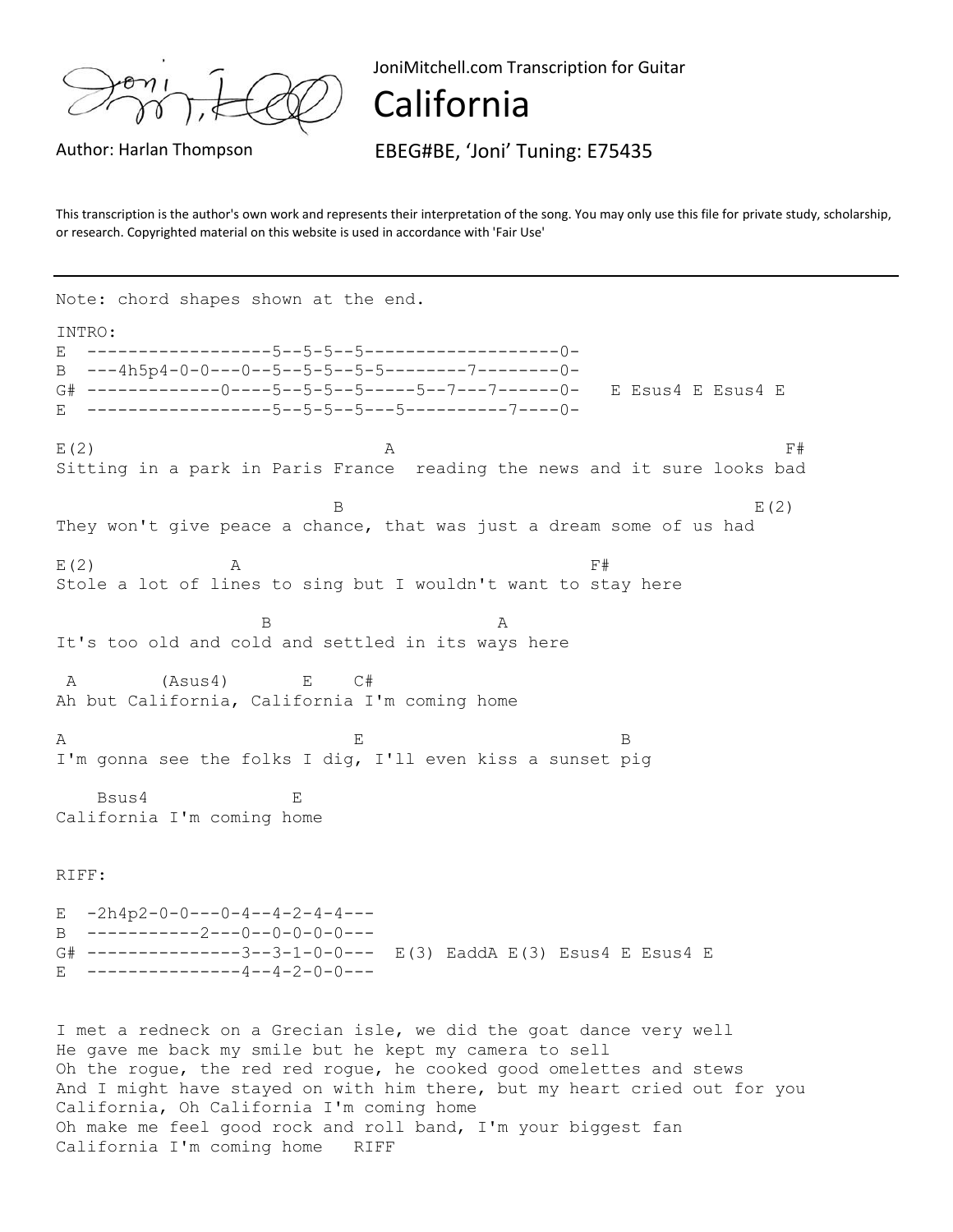JoniMitchell.com Transcription for Guitar

Author: Harlan Thompson EBEG#BE, 'Joni' Tuning: E75435

This transcription is the author's own work and represents their interpretation of the song. You may only use this file for private study, scholarship, or research. Copyrighted material on this website is used in accordance with 'Fair Use'

California

Note: chord shapes shown at the end. INTRO: E ------------------5--5-5--5-------------------0- B ---4h5p4-0-0---0--5--5-5--5-5--------7--------0- G# -------------0----5--5-5--5-----5--7---7------0- E Esus4 E Esus4 E E ------------------5--5-5--5---5----------7----0-  $E(2)$   $A$ Sitting in a park in Paris France reading the news and it sure looks bad  $\mathbb{B}$  E(2) They won't give peace a chance, that was just a dream some of us had  $E(2)$  A F# Stole a lot of lines to sing but I wouldn't want to stay here B A It's too old and cold and settled in its ways here A (Asus4) E C# Ah but California, California I'm coming home  $\mathbb A$  B I'm gonna see the folks I dig, I'll even kiss a sunset pig Bsus4 E California I'm coming home RIFF: E  $-2h4p2-0-0---0-4--4-2-4-4-4-7$ B -----------2---0--0-0-0-0---G# ---------------3--3-1-0-0--- E(3) EaddA E(3) Esus4 E Esus4 E E --------------4--4-2-0-0---I met a redneck on a Grecian isle, we did the goat dance very well He gave me back my smile but he kept my camera to sell Oh the rogue, the red red rogue, he cooked good omelettes and stews And I might have stayed on with him there, but my heart cried out for you California, Oh California I'm coming home Oh make me feel good rock and roll band, I'm your biggest fan California I'm coming home RIFF